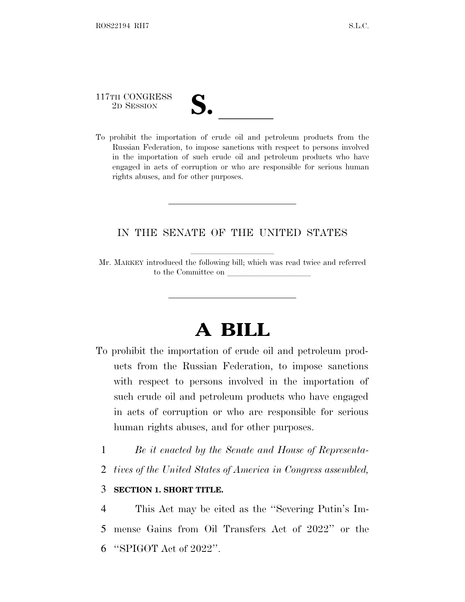117TH CONGRESS

- 
- 117TH CONGRESS<br>
2D SESSION<br>
To prohibit the importation of crude oil and petroleum products from the Russian Federation, to impose sanctions with respect to persons involved in the importation of such crude oil and petroleum products who have engaged in acts of corruption or who are responsible for serious human rights abuses, and for other purposes.

## IN THE SENATE OF THE UNITED STATES

Mr. MARKEY introduced the following bill; which was read twice and referred to the Committee on

## **A BILL**

- To prohibit the importation of crude oil and petroleum products from the Russian Federation, to impose sanctions with respect to persons involved in the importation of such crude oil and petroleum products who have engaged in acts of corruption or who are responsible for serious human rights abuses, and for other purposes.
	- 1 *Be it enacted by the Senate and House of Representa-*
	- 2 *tives of the United States of America in Congress assembled,*

## 3 **SECTION 1. SHORT TITLE.**

4 This Act may be cited as the ''Severing Putin's Im-5 mense Gains from Oil Transfers Act of 2022'' or the 6 ''SPIGOT Act of 2022''.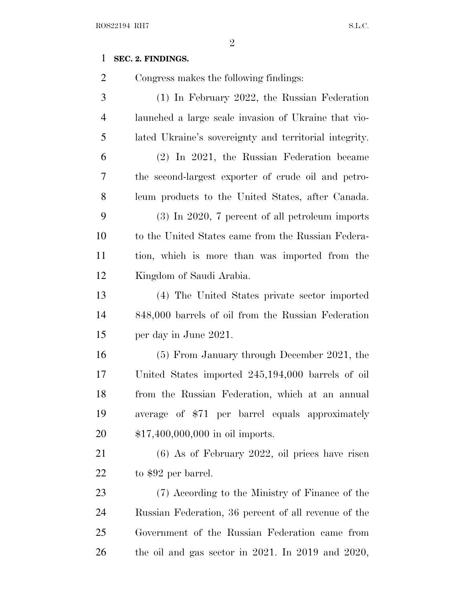## **SEC. 2. FINDINGS.**

Congress makes the following findings:

 (1) In February 2022, the Russian Federation launched a large scale invasion of Ukraine that vio- lated Ukraine's sovereignty and territorial integrity. (2) In 2021, the Russian Federation became the second-largest exporter of crude oil and petro- leum products to the United States, after Canada. (3) In 2020, 7 percent of all petroleum imports to the United States came from the Russian Federa- tion, which is more than was imported from the Kingdom of Saudi Arabia. (4) The United States private sector imported 848,000 barrels of oil from the Russian Federation per day in June 2021. (5) From January through December 2021, the United States imported 245,194,000 barrels of oil from the Russian Federation, which at an annual average of \$71 per barrel equals approximately \$17,400,000,000 in oil imports. (6) As of February 2022, oil prices have risen 22 to \$92 per barrel. (7) According to the Ministry of Finance of the Russian Federation, 36 percent of all revenue of the Government of the Russian Federation came from the oil and gas sector in 2021. In 2019 and 2020,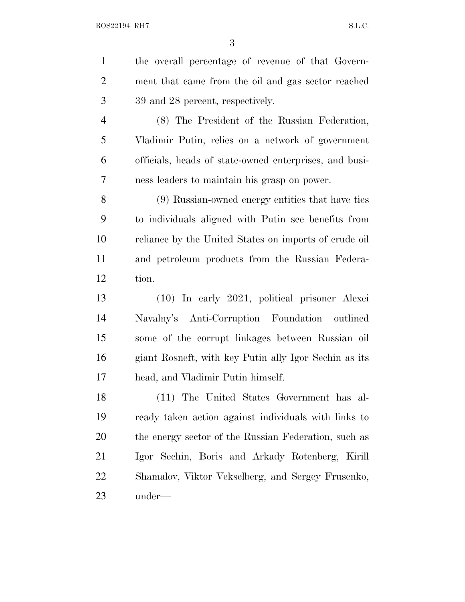| $\mathbf{1}$   | the overall percentage of revenue of that Govern-      |
|----------------|--------------------------------------------------------|
| $\overline{2}$ | ment that came from the oil and gas sector reached     |
| 3              | 39 and 28 percent, respectively.                       |
| $\overline{4}$ | (8) The President of the Russian Federation,           |
| 5              | Vladimir Putin, relies on a network of government      |
| 6              | officials, heads of state-owned enterprises, and busi- |
| 7              | ness leaders to maintain his grasp on power.           |
| 8              | (9) Russian-owned energy entities that have ties       |
| 9              | to individuals aligned with Putin see benefits from    |
| 10             | reliance by the United States on imports of crude oil  |
| 11             | and petroleum products from the Russian Federa-        |
| 12             | tion.                                                  |
| 13             | (10) In early 2021, political prisoner Alexei          |
| 14             | Navalny's Anti-Corruption Foundation outlined          |
| 15             | some of the corrupt linkages between Russian oil       |
| 16             | giant Rosneft, with key Putin ally Igor Sechin as its  |
| 17             | head, and Vladimir Putin himself.                      |
| 18             | (11) The United States Government has al-              |
| 19             | ready taken action against individuals with links to   |
| 20             | the energy sector of the Russian Federation, such as   |
| 21             | Igor Sechin, Boris and Arkady Rotenberg, Kirill        |
| 22             | Shamalov, Viktor Vekselberg, and Sergey Frusenko,      |
| 23             | under—                                                 |
|                |                                                        |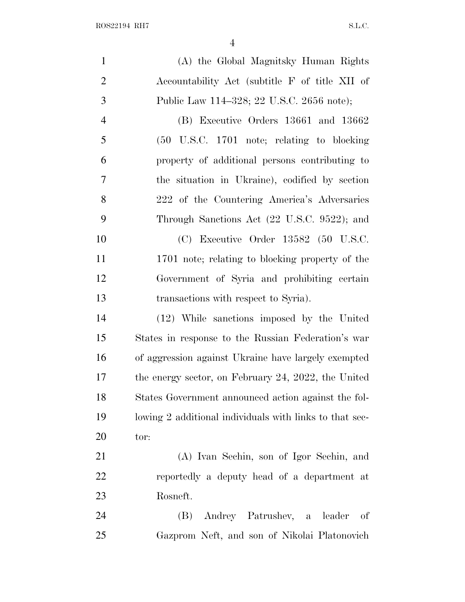| $\mathbf{1}$   | (A) the Global Magnitsky Human Rights                   |
|----------------|---------------------------------------------------------|
| $\overline{2}$ | Accountability Act (subtitle F of title XII of          |
| 3              | Public Law 114-328; 22 U.S.C. 2656 note);               |
| $\overline{4}$ | (B) Executive Orders 13661 and 13662                    |
| 5              |                                                         |
| 6              | property of additional persons contributing to          |
| 7              | the situation in Ukraine), codified by section          |
| $8\,$          | 222 of the Countering America's Adversaries             |
| 9              | Through Sanctions Act (22 U.S.C. 9522); and             |
| 10             | $(C)$ Executive Order 13582 (50 U.S.C.                  |
| 11             | 1701 note; relating to blocking property of the         |
| 12             | Government of Syria and prohibiting certain             |
| 13             | transactions with respect to Syria).                    |
| 14             | (12) While sanctions imposed by the United              |
| 15             | States in response to the Russian Federation's war      |
| 16             | of aggression against Ukraine have largely exempted     |
| 17             | the energy sector, on February 24, 2022, the United     |
| 18             | States Government announced action against the fol-     |
| 19             | lowing 2 additional individuals with links to that sec- |
| 20             | tor:                                                    |

 (A) Ivan Sechin, son of Igor Sechin, and reportedly a deputy head of a department at Rosneft.

 (B) Andrey Patrushev, a leader of Gazprom Neft, and son of Nikolai Platonovich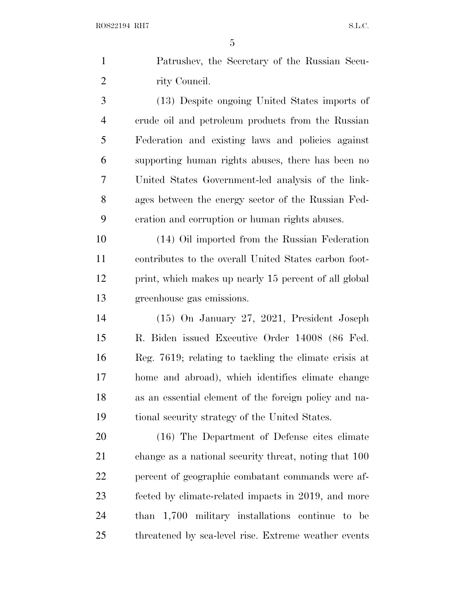| 1 | Patrushev, the Secretary of the Russian Secu-     |
|---|---------------------------------------------------|
|   | rity Council.                                     |
| 3 | (13) Despite ongoing United States imports of     |
| 4 | erude oil and petroleum products from the Russian |
| 5 | Federation and existing laws and policies against |

 supporting human rights abuses, there has been no United States Government-led analysis of the link- ages between the energy sector of the Russian Fed-eration and corruption or human rights abuses.

 (14) Oil imported from the Russian Federation contributes to the overall United States carbon foot-12 print, which makes up nearly 15 percent of all global greenhouse gas emissions.

 (15) On January 27, 2021, President Joseph R. Biden issued Executive Order 14008 (86 Fed. Reg. 7619; relating to tackling the climate crisis at home and abroad), which identifies climate change as an essential element of the foreign policy and na-tional security strategy of the United States.

 (16) The Department of Defense cites climate change as a national security threat, noting that 100 percent of geographic combatant commands were af- fected by climate-related impacts in 2019, and more than 1,700 military installations continue to be threatened by sea-level rise. Extreme weather events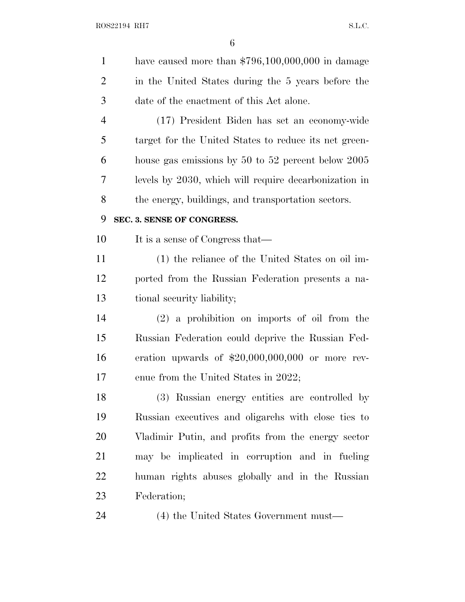| have caused more than $$796,100,000,000$ in damage    |
|-------------------------------------------------------|
| in the United States during the 5 years before the    |
| date of the enactment of this Act alone.              |
| (17) President Biden has set an economy-wide          |
| target for the United States to reduce its net green- |
| house gas emissions by 50 to 52 percent below 2005    |
| levels by 2030, which will require decarbonization in |
| the energy, buildings, and transportation sectors.    |
| SEC. 3. SENSE OF CONGRESS.                            |
| It is a sense of Congress that—                       |
| (1) the reliance of the United States on oil im-      |
| ported from the Russian Federation presents a na-     |
| tional security liability;                            |
| $(2)$ a prohibition on imports of oil from the        |
| Russian Federation could deprive the Russian Fed-     |
| eration upwards of $$20,000,000,000$ or more rev-     |
| enue from the United States in 2022;                  |
| (3) Russian energy entities are controlled by         |
| Russian executives and oligarchs with close ties to   |
| Vladimir Putin, and profits from the energy sector    |
| may be implicated in corruption and in fueling        |
| human rights abuses globally and in the Russian       |
| Federation;                                           |
| (4) the United States Government must—                |
|                                                       |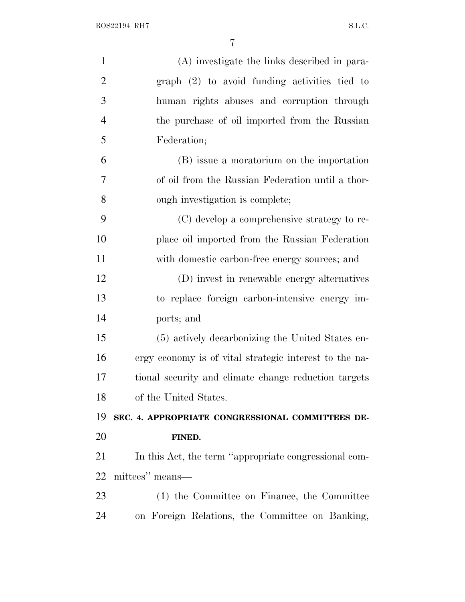| $\mathbf{1}$   | (A) investigate the links described in para-           |
|----------------|--------------------------------------------------------|
| $\overline{2}$ | $graph$ (2) to avoid funding activities tied to        |
| 3              | human rights abuses and corruption through             |
| $\overline{4}$ | the purchase of oil imported from the Russian          |
| 5              | Federation;                                            |
| 6              | (B) issue a moratorium on the importation              |
| 7              | of oil from the Russian Federation until a thor-       |
| 8              | ough investigation is complete;                        |
| 9              | (C) develop a comprehensive strategy to re-            |
| 10             | place oil imported from the Russian Federation         |
| 11             | with domestic carbon-free energy sources; and          |
| 12             | (D) invest in renewable energy alternatives            |
| 13             | to replace foreign carbon-intensive energy im-         |
| 14             | ports; and                                             |
| 15             | (5) actively decarbonizing the United States en-       |
| 16             | ergy economy is of vital strategic interest to the na- |
| 17             | tional security and climate change reduction targets   |
| 18             | of the United States.                                  |
| 19             | SEC. 4. APPROPRIATE CONGRESSIONAL COMMITTEES DE-       |
| 20             | FINED.                                                 |
| 21             | In this Act, the term "appropriate congressional com-  |
| 22             | mittees" means—                                        |
| 23             |                                                        |
|                | (1) the Committee on Finance, the Committee            |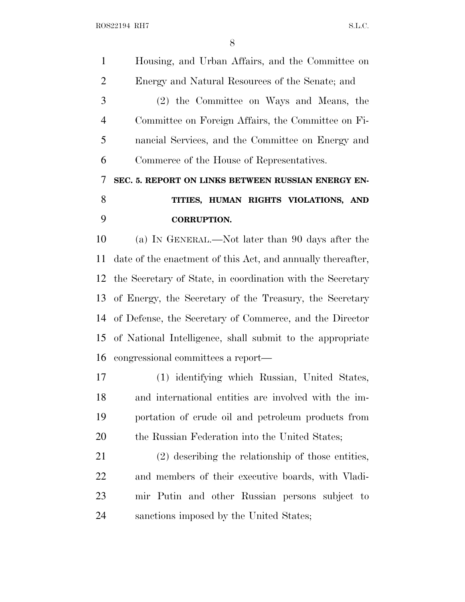Housing, and Urban Affairs, and the Committee on Energy and Natural Resources of the Senate; and (2) the Committee on Ways and Means, the Committee on Foreign Affairs, the Committee on Fi- nancial Services, and the Committee on Energy and Commerce of the House of Representatives. **SEC. 5. REPORT ON LINKS BETWEEN RUSSIAN ENERGY EN- TITIES, HUMAN RIGHTS VIOLATIONS, AND CORRUPTION.** (a) I<sup>N</sup> GENERAL.—Not later than 90 days after the date of the enactment of this Act, and annually thereafter, the Secretary of State, in coordination with the Secretary of Energy, the Secretary of the Treasury, the Secretary of Defense, the Secretary of Commerce, and the Director of National Intelligence, shall submit to the appropriate congressional committees a report— (1) identifying which Russian, United States, and international entities are involved with the im- portation of crude oil and petroleum products from 20 the Russian Federation into the United States; (2) describing the relationship of those entities, and members of their executive boards, with Vladi- mir Putin and other Russian persons subject to sanctions imposed by the United States;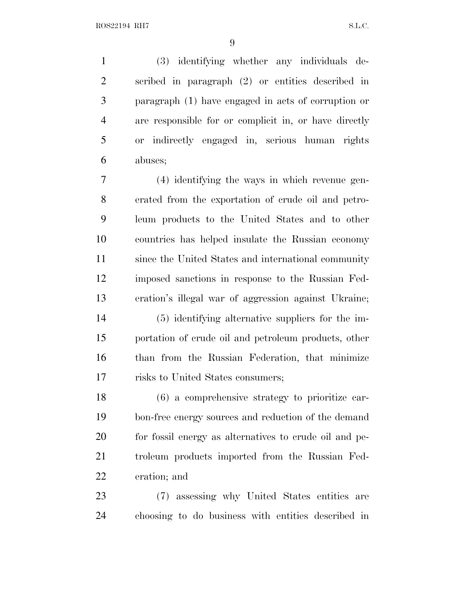(3) identifying whether any individuals de- scribed in paragraph (2) or entities described in paragraph (1) have engaged in acts of corruption or are responsible for or complicit in, or have directly or indirectly engaged in, serious human rights abuses;

 (4) identifying the ways in which revenue gen- erated from the exportation of crude oil and petro- leum products to the United States and to other countries has helped insulate the Russian economy since the United States and international community imposed sanctions in response to the Russian Fed-eration's illegal war of aggression against Ukraine;

 (5) identifying alternative suppliers for the im- portation of crude oil and petroleum products, other than from the Russian Federation, that minimize risks to United States consumers;

 (6) a comprehensive strategy to prioritize car- bon-free energy sources and reduction of the demand for fossil energy as alternatives to crude oil and pe- troleum products imported from the Russian Fed-eration; and

 (7) assessing why United States entities are choosing to do business with entities described in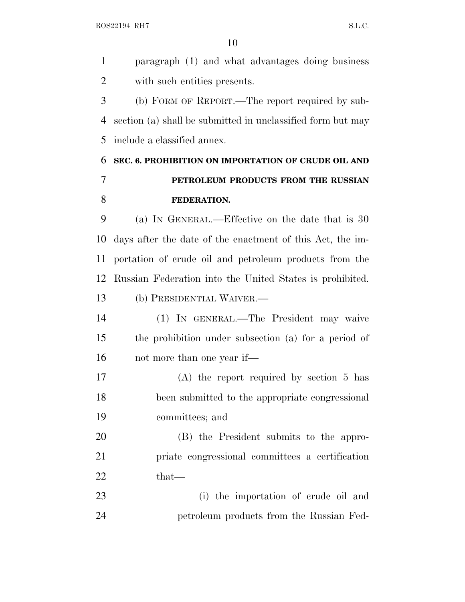ROS22194 RH7 S.L.C.

 paragraph (1) and what advantages doing business with such entities presents. (b) FORM OF REPORT.—The report required by sub- section (a) shall be submitted in unclassified form but may include a classified annex. **SEC. 6. PROHIBITION ON IMPORTATION OF CRUDE OIL AND PETROLEUM PRODUCTS FROM THE RUSSIAN FEDERATION.** (a) I<sup>N</sup> GENERAL.—Effective on the date that is 30 days after the date of the enactment of this Act, the im- portation of crude oil and petroleum products from the Russian Federation into the United States is prohibited. (b) PRESIDENTIAL WAIVER.— (1) IN GENERAL.—The President may waive the prohibition under subsection (a) for a period of 16 not more than one year if— (A) the report required by section 5 has been submitted to the appropriate congressional committees; and (B) the President submits to the appro- priate congressional committees a certification 22 that— (i) the importation of crude oil and petroleum products from the Russian Fed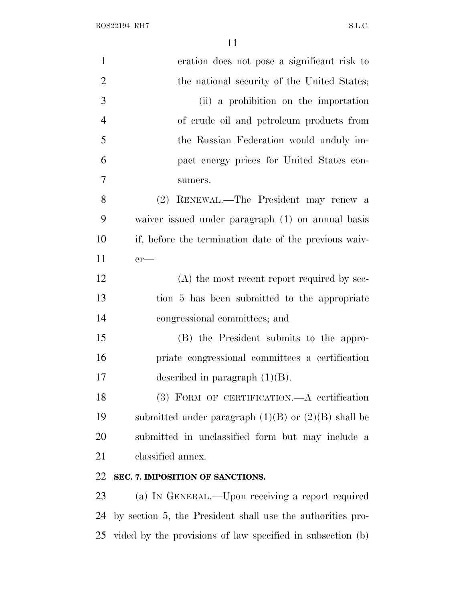$\rm\,ROS22194\;\;RHT \rm\,S.L.C.$ 

| $\mathbf{1}$   | eration does not pose a significant risk to                   |
|----------------|---------------------------------------------------------------|
| $\overline{2}$ | the national security of the United States;                   |
| 3              | (ii) a prohibition on the importation                         |
| $\overline{4}$ | of crude oil and petroleum products from                      |
| 5              | the Russian Federation would unduly im-                       |
| 6              | pact energy prices for United States con-                     |
| 7              | sumers.                                                       |
| 8              | (2) RENEWAL.—The President may renew a                        |
| 9              | waiver issued under paragraph (1) on annual basis             |
| 10             | if, before the termination date of the previous waiv-         |
| 11             | $er$ —                                                        |
| 12             | $(A)$ the most recent report required by sec-                 |
| 13             | tion 5 has been submitted to the appropriate                  |
| 14             | congressional committees; and                                 |
| 15             | (B) the President submits to the appro-                       |
| 16             | priate congressional committees a certification               |
| 17             | described in paragraph $(1)(B)$ .                             |
| 18             | (3) FORM OF CERTIFICATION.—A certification                    |
| 19             | submitted under paragraph $(1)(B)$ or $(2)(B)$ shall be       |
| 20             | submitted in unclassified form but may include a              |
| 21             | classified annex.                                             |
| 22             | SEC. 7. IMPOSITION OF SANCTIONS.                              |
| 23             | (a) IN GENERAL.—Upon receiving a report required              |
| 24             | by section 5, the President shall use the authorities pro-    |
|                | 25 vided by the provisions of law specified in subsection (b) |